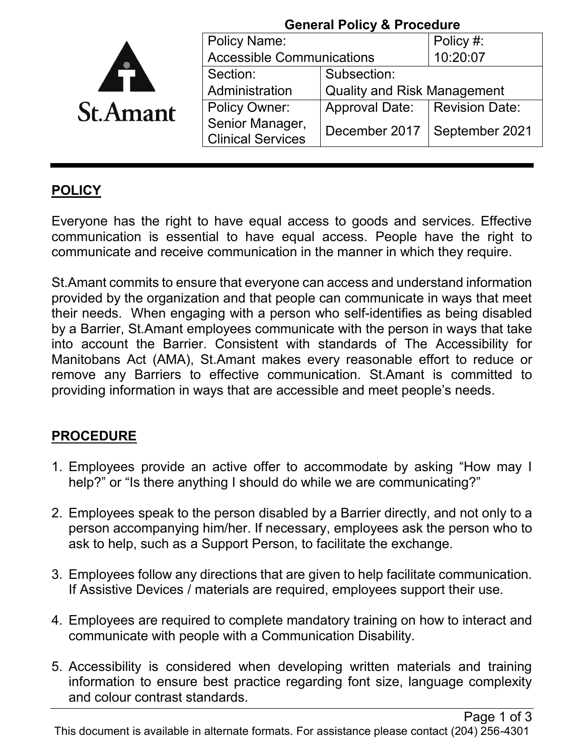|                 | <b>General Policy &amp; Procedure</b>       |                                    |                                |  |  |
|-----------------|---------------------------------------------|------------------------------------|--------------------------------|--|--|
|                 | <b>Policy Name:</b>                         | Policy #:                          |                                |  |  |
|                 | <b>Accessible Communications</b>            | 10:20:07                           |                                |  |  |
|                 | Section:                                    | Subsection:                        |                                |  |  |
|                 | Administration                              | <b>Quality and Risk Management</b> |                                |  |  |
| <b>St.Amant</b> | <b>Policy Owner:</b>                        | <b>Approval Date:</b>              | <b>Revision Date:</b>          |  |  |
|                 | Senior Manager,<br><b>Clinical Services</b> |                                    | December 2017   September 2021 |  |  |
|                 |                                             |                                    |                                |  |  |

## **POLICY**

Everyone has the right to have equal access to goods and services. Effective communication is essential to have equal access. People have the right to communicate and receive communication in the manner in which they require.

St.Amant commits to ensure that everyone can access and understand information provided by the organization and that people can communicate in ways that meet their needs. When engaging with a person who self-identifies as being disabled by a Barrier, St.Amant employees communicate with the person in ways that take into account the Barrier. Consistent with standards of The Accessibility for Manitobans Act (AMA), St.Amant makes every reasonable effort to reduce or remove any Barriers to effective communication. St.Amant is committed to providing information in ways that are accessible and meet people's needs.

## **PROCEDURE**

- 1. Employees provide an active offer to accommodate by asking "How may I help?" or "Is there anything I should do while we are communicating?"
- 2. Employees speak to the person disabled by a Barrier directly, and not only to a person accompanying him/her. If necessary, employees ask the person who to ask to help, such as a Support Person, to facilitate the exchange.
- 3. Employees follow any directions that are given to help facilitate communication. If Assistive Devices / materials are required, employees support their use.
- 4. Employees are required to complete mandatory training on how to interact and communicate with people with a Communication Disability.
- 5. Accessibility is considered when developing written materials and training information to ensure best practice regarding font size, language complexity and colour contrast standards.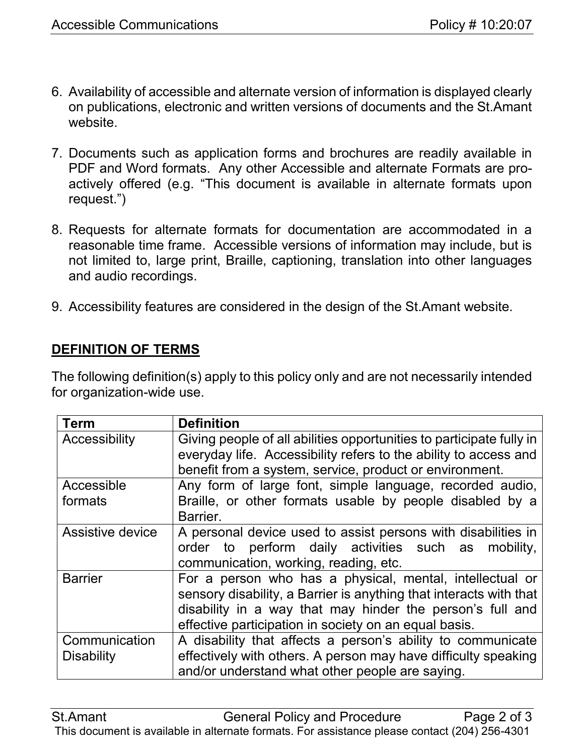- 6. Availability of accessible and alternate version of information is displayed clearly on publications, electronic and written versions of documents and the St.Amant website.
- 7. Documents such as application forms and brochures are readily available in PDF and Word formats. Any other Accessible and alternate Formats are proactively offered (e.g. "This document is available in alternate formats upon request.")
- 8. Requests for alternate formats for documentation are accommodated in a reasonable time frame. Accessible versions of information may include, but is not limited to, large print, Braille, captioning, translation into other languages and audio recordings.
- 9. Accessibility features are considered in the design of the St.Amant website.

## **DEFINITION OF TERMS**

The following definition(s) apply to this policy only and are not necessarily intended for organization-wide use.

| <b>Term</b>       | <b>Definition</b>                                                    |
|-------------------|----------------------------------------------------------------------|
| Accessibility     | Giving people of all abilities opportunities to participate fully in |
|                   | everyday life. Accessibility refers to the ability to access and     |
|                   | benefit from a system, service, product or environment.              |
| Accessible        | Any form of large font, simple language, recorded audio,             |
| formats           | Braille, or other formats usable by people disabled by a             |
|                   | Barrier.                                                             |
| Assistive device  | A personal device used to assist persons with disabilities in        |
|                   | order to perform daily activities such as mobility,                  |
|                   | communication, working, reading, etc.                                |
| <b>Barrier</b>    | For a person who has a physical, mental, intellectual or             |
|                   | sensory disability, a Barrier is anything that interacts with that   |
|                   | disability in a way that may hinder the person's full and            |
|                   | effective participation in society on an equal basis.                |
| Communication     | A disability that affects a person's ability to communicate          |
| <b>Disability</b> | effectively with others. A person may have difficulty speaking       |
|                   | and/or understand what other people are saying.                      |